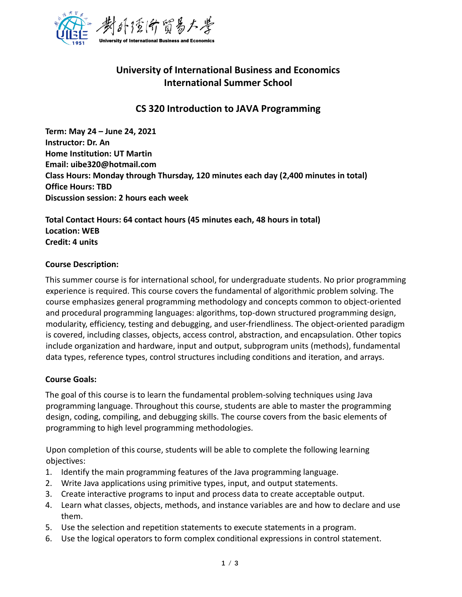

# **University of International Business and Economics International Summer School**

# **CS 320 Introduction to JAVA Programming**

**Term: May 24 – June 24, 2021 Instructor: Dr. An Home Institution: UT Martin Email: uibe320@hotmail.com Class Hours: Monday through Thursday, 120 minutes each day (2,400 minutes in total) Office Hours: TBD Discussion session: 2 hours each week**

**Total Contact Hours: 64 contact hours (45 minutes each, 48 hours in total) Location: WEB Credit: 4 units**

# **Course Description:**

This summer course is for international school, for undergraduate students. No prior programming experience is required. This course covers the fundamental of algorithmic problem solving. The course emphasizes general programming methodology and concepts common to object-oriented and procedural programming languages: algorithms, top-down structured programming design, modularity, efficiency, testing and debugging, and user-friendliness. The object-oriented paradigm is covered, including classes, objects, access control, abstraction, and encapsulation. Other topics include organization and hardware, input and output, subprogram units (methods), fundamental data types, reference types, control structures including conditions and iteration, and arrays.

# **Course Goals:**

The goal of this course is to learn the fundamental problem-solving techniques using Java programming language. Throughout this course, students are able to master the programming design, coding, compiling, and debugging skills. The course covers from the basic elements of programming to high level programming methodologies.

Upon completion of this course, students will be able to complete the following learning objectives:

- 1. Identify the main programming features of the Java programming language.
- 2. Write Java applications using primitive types, input, and output statements.
- 3. Create interactive programs to input and process data to create acceptable output.
- 4. Learn what classes, objects, methods, and instance variables are and how to declare and use them.
- 5. Use the selection and repetition statements to execute statements in a program.
- 6. Use the logical operators to form complex conditional expressions in control statement.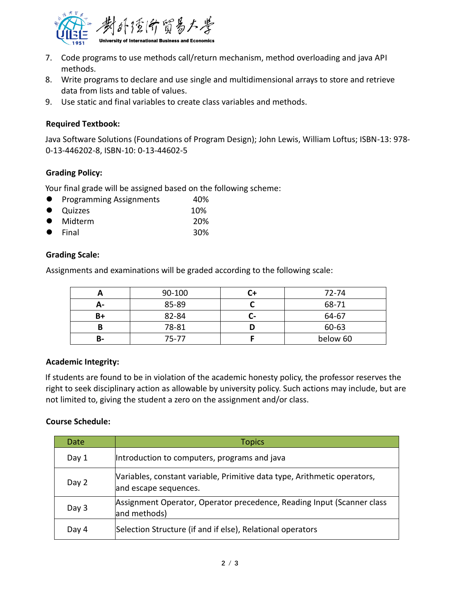

- 7. Code programs to use methods call/return mechanism, method overloading and java API methods.
- 8. Write programs to declare and use single and multidimensional arrays to store and retrieve data from lists and table of values.
- 9. Use static and final variables to create class variables and methods.

# **Required Textbook:**

Java Software Solutions (Foundations of Program Design); John Lewis, William Loftus; ISBN-13: 978- 0-13-446202-8, ISBN-10: 0-13-44602-5

# **Grading Policy:**

Your final grade will be assigned based on the following scheme:

- Programming Assignments 40%
- Quizzes 10%
- Midterm 20%
- Final 30%

#### **Grading Scale:**

Assignments and examinations will be graded according to the following scale:

|    | 90-100 |                | 72-74    |
|----|--------|----------------|----------|
| A- | 85-89  |                | 68-71    |
| B+ | 82-84  | $\overline{a}$ | 64-67    |
| B  | 78-81  |                | 60-63    |
| В- | 75-77  |                | below 60 |

# **Academic Integrity:**

If students are found to be in violation of the academic honesty policy, the professor reserves the right to seek disciplinary action as allowable by university policy. Such actions may include, but are not limited to, giving the student a zero on the assignment and/or class.

# **Course Schedule:**

| Date  | <b>Topics</b>                                                                                     |
|-------|---------------------------------------------------------------------------------------------------|
| Day 1 | Introduction to computers, programs and java                                                      |
| Day 2 | Variables, constant variable, Primitive data type, Arithmetic operators,<br>and escape sequences. |
| Day 3 | Assignment Operator, Operator precedence, Reading Input (Scanner class<br>and methods)            |
| Day 4 | Selection Structure (if and if else), Relational operators                                        |